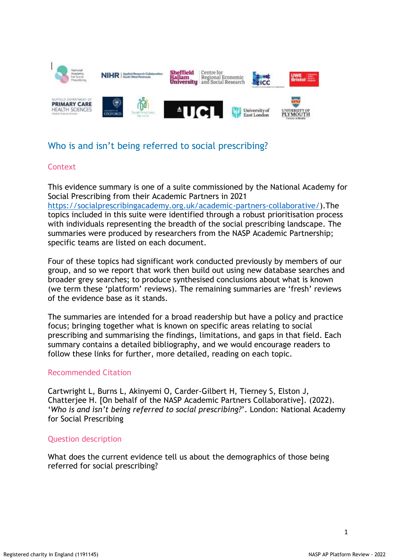

# Who is and isn't being referred to social prescribing?

### **Context**

This evidence summary is one of a suite commissioned by the National Academy for Social Prescribing from their Academic Partners in 2021 [https://socialprescribingacademy.org.uk/academic-partners-collaborative/\)](https://socialprescribingacademy.org.uk/academic-partners-collaborative/).The topics included in this suite were identified through a robust prioritisation process with individuals representing the breadth of the social prescribing landscape. The summaries were produced by researchers from the NASP Academic Partnership; specific teams are listed on each document.

Four of these topics had significant work conducted previously by members of our group, and so we report that work then build out using new database searches and broader grey searches; to produce synthesised conclusions about what is known (we term these 'platform' reviews). The remaining summaries are 'fresh' reviews of the evidence base as it stands.

The summaries are intended for a broad readership but have a policy and practice focus; bringing together what is known on specific areas relating to social prescribing and summarising the findings, limitations, and gaps in that field. Each summary contains a detailed bibliography, and we would encourage readers to follow these links for further, more detailed, reading on each topic.

## Recommended Citation

Cartwright L, Burns L, Akinyemi O, Carder-Gilbert H, Tierney S, Elston J, Chatterjee H. [On behalf of the NASP Academic Partners Collaborative]. (2022). '*Who is and isn't being referred to social prescribing?*'. London: National Academy for Social Prescribing

#### Question description

What does the current evidence tell us about the demographics of those being referred for social prescribing?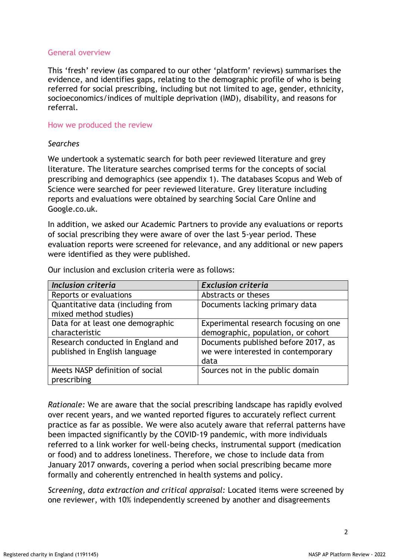# General overview

This 'fresh' review (as compared to our other 'platform' reviews) summarises the evidence, and identifies gaps, relating to the demographic profile of who is being referred for social prescribing, including but not limited to age, gender, ethnicity, socioeconomics/indices of multiple deprivation (IMD), disability, and reasons for referral.

### How we produced the review

### *Searches*

We undertook a systematic search for both peer reviewed literature and grey literature. The literature searches comprised terms for the concepts of social prescribing and demographics (see appendix 1). The databases Scopus and Web of Science were searched for peer reviewed literature. Grey literature including reports and evaluations were obtained by searching Social Care Online and Google.co.uk.

In addition, we asked our Academic Partners to provide any evaluations or reports of social prescribing they were aware of over the last 5-year period. These evaluation reports were screened for relevance, and any additional or new papers were identified as they were published.

| <b>Inclusion criteria</b>         | <b>Exclusion criteria</b>             |
|-----------------------------------|---------------------------------------|
| Reports or evaluations            | Abstracts or theses                   |
| Quantitative data (including from | Documents lacking primary data        |
| mixed method studies)             |                                       |
| Data for at least one demographic | Experimental research focusing on one |
| characteristic                    | demographic, population, or cohort    |
| Research conducted in England and | Documents published before 2017, as   |
| published in English language     | we were interested in contemporary    |
|                                   | data                                  |
| Meets NASP definition of social   | Sources not in the public domain      |
| prescribing                       |                                       |

Our inclusion and exclusion criteria were as follows:

*Rationale:* We are aware that the social prescribing landscape has rapidly evolved over recent years, and we wanted reported figures to accurately reflect current practice as far as possible. We were also acutely aware that referral patterns have been impacted significantly by the COVID-19 pandemic, with more individuals referred to a link worker for well-being checks, instrumental support (medication or food) and to address loneliness. Therefore, we chose to include data from January 2017 onwards, covering a period when social prescribing became more formally and coherently entrenched in health systems and policy.

*Screening, data extraction and critical appraisal:* Located items were screened by one reviewer, with 10% independently screened by another and disagreements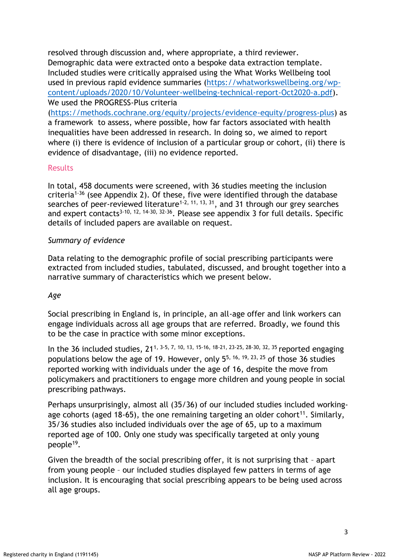resolved through discussion and, where appropriate, a third reviewer. Demographic data were extracted onto a bespoke data extraction template. Included studies were critically appraised using the What Works Wellbeing tool used in previous rapid evidence summaries [\(https://whatworkswellbeing.org/wp](https://whatworkswellbeing.org/wp-content/uploads/2020/10/Volunteer-wellbeing-technical-report-Oct2020-a.pdf)[content/uploads/2020/10/Volunteer-wellbeing-technical-report-Oct2020-a.pdf\)](https://whatworkswellbeing.org/wp-content/uploads/2020/10/Volunteer-wellbeing-technical-report-Oct2020-a.pdf). We used the PROGRESS-Plus criteria

[\(https://methods.cochrane.org/equity/projects/evidence-equity/progress-plus\)](https://methods.cochrane.org/equity/projects/evidence-equity/progress-plus) as a framework to assess, where possible, how far factors associated with health inequalities have been addressed in research. In doing so, we aimed to report where (i) there is evidence of inclusion of a particular group or cohort, (ii) there is evidence of disadvantage, (iii) no evidence reported.

## Results

In total, 458 documents were screened, with 36 studies meeting the inclusion criteria<sup>1-36</sup> (see Appendix 2). Of these, five were identified through the database searches of peer-reviewed literature<sup>1-2, 11, 13, 31</sup>, and 31 through our grey searches and expert contacts<sup>3-10, 12, 14-30, 32-36</sup>. Please see appendix 3 for full details. Specific details of included papers are available on request.

### *Summary of evidence*

Data relating to the demographic profile of social prescribing participants were extracted from included studies, tabulated, discussed, and brought together into a narrative summary of characteristics which we present below.

#### *Age*

Social prescribing in England is, in principle, an all-age offer and link workers can engage individuals across all age groups that are referred. Broadly, we found this to be the case in practice with some minor exceptions.

In the 36 included studies, 211, 3-5, 7, 10, 13, 15-16, 18-21, 23-25, 28-30, 32, 35 reported engaging populations below the age of 19. However, only  $5^{5}$ , 16, 19, 23, 25 of those 36 studies reported working with individuals under the age of 16, despite the move from policymakers and practitioners to engage more children and young people in social prescribing pathways.

Perhaps unsurprisingly, almost all (35/36) of our included studies included workingage cohorts (aged 18-65), the one remaining targeting an older cohort<sup>11</sup>. Similarly, 35/36 studies also included individuals over the age of 65, up to a maximum reported age of 100. Only one study was specifically targeted at only young people<sup>19</sup>.

Given the breadth of the social prescribing offer, it is not surprising that – apart from young people – our included studies displayed few patters in terms of age inclusion. It is encouraging that social prescribing appears to be being used across all age groups.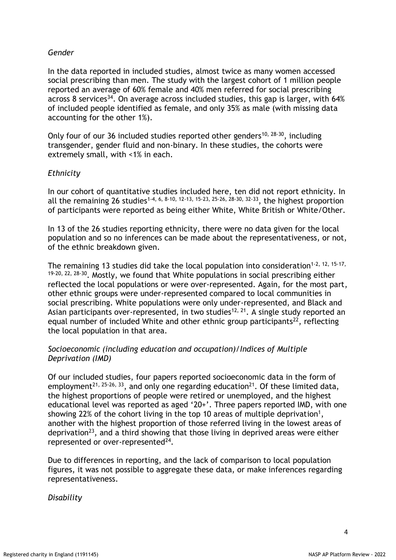# *Gender*

In the data reported in included studies, almost twice as many women accessed social prescribing than men. The study with the largest cohort of 1 million people reported an average of 60% female and 40% men referred for social prescribing across 8 services<sup>34</sup>. On average across included studies, this gap is larger, with 64% of included people identified as female, and only 35% as male (with missing data accounting for the other 1%).

Only four of our 36 included studies reported other genders<sup>10, 28-30</sup>, including transgender, gender fluid and non-binary. In these studies, the cohorts were extremely small, with <1% in each.

## *Ethnicity*

In our cohort of quantitative studies included here, ten did not report ethnicity. In all the remaining 26 studies<sup>1-4, 6, 8-10, 12-13, 15-23, 25-26, 28-30, 32-33</sup>, the highest proportion of participants were reported as being either White, White British or White/Other.

In 13 of the 26 studies reporting ethnicity, there were no data given for the local population and so no inferences can be made about the representativeness, or not, of the ethnic breakdown given.

The remaining 13 studies did take the local population into consideration<sup>1-2, 12, 15-17,</sup> 19-20, 22, 28-30. Mostly, we found that White populations in social prescribing either reflected the local populations or were over-represented. Again, for the most part, other ethnic groups were under-represented compared to local communities in social prescribing. White populations were only under-represented, and Black and Asian participants over-represented, in two studies<sup>12, 21</sup>. A single study reported an equal number of included White and other ethnic group participants<sup>22</sup>, reflecting the local population in that area.

# *Socioeconomic (including education and occupation)/Indices of Multiple Deprivation (IMD)*

Of our included studies, four papers reported socioeconomic data in the form of employment<sup>21, 25-26, 33</sup>, and only one regarding education<sup>21</sup>. Of these limited data, the highest proportions of people were retired or unemployed, and the highest educational level was reported as aged '20+'. Three papers reported IMD, with one showing 22% of the cohort living in the top 10 areas of multiple deprivation<sup>1</sup>, another with the highest proportion of those referred living in the lowest areas of deprivation<sup>23</sup>, and a third showing that those living in deprived areas were either represented or over-represented $^{24}$ .

Due to differences in reporting, and the lack of comparison to local population figures, it was not possible to aggregate these data, or make inferences regarding representativeness.

*Disability*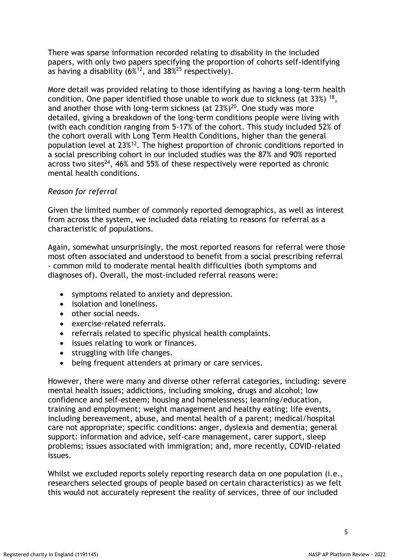There was sparse information recorded relating to disability in the included papers, with only two papers specifying the proportion of cohorts self-identifying as having a disability  $(6\%^{12})$ , and  $38\%^{25}$  respectively).

More detail was provided relating to those identifying as having a long-term health condition. One paper identified those unable to work due to sickness (at 33%) <sup>18</sup> , and another those with long-term sickness (at 23%)<sup>20</sup>. One study was more detailed, giving a breakdown of the long-term conditions people were living with (with each condition ranging from 5-17% of the cohort. This study included 52% of the cohort overall with Long Term Health Conditions, higher than the general population level at 23%<sup>12</sup>. The highest proportion of chronic conditions reported in a social prescribing cohort in our included studies was the 87% and 90% reported across two sites<sup>24</sup>, 46% and 55% of these respectively were reported as chronic mental health conditions.

# *Reason for referral*

Given the limited number of commonly reported demographics, as well as interest from across the system, we included data relating to reasons for referral as a characteristic of populations.

Again, somewhat unsurprisingly, the most reported reasons for referral were those most often associated and understood to benefit from a social prescribing referral - common mild to moderate mental health difficulties (both symptoms and diagnoses of). Overall, the most-included referral reasons were:

- symptoms related to anxiety and depression.
- isolation and loneliness.
- other social needs.
- exercise-related referrals.
- referrals related to specific physical health complaints.
- issues relating to work or finances.
- struggling with life changes.
- being frequent attenders at primary or care services.

However, there were many and diverse other referral categories, including: severe mental health issues; addictions, including smoking, drugs and alcohol; low confidence and self-esteem; housing and homelessness; learning/education, training and employment; weight management and healthy eating; life events, including bereavement, abuse, and mental health of a parent; medical/hospital care not appropriate; specific conditions: anger, dyslexia and dementia; general support: information and advice, self-care management, carer support, sleep problems; issues associated with immigration; and, more recently, COVID-related issues.

Whilst we excluded reports solely reporting research data on one population (i.e., researchers selected groups of people based on certain characteristics) as we felt this would not accurately represent the reality of services, three of our included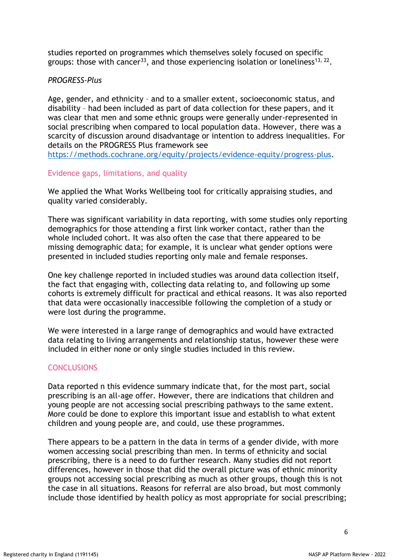studies reported on programmes which themselves solely focused on specific groups: those with cancer<sup>33</sup>, and those experiencing isolation or loneliness<sup>13, 22</sup>.

#### *PROGRESS-Plus*

Age, gender, and ethnicity – and to a smaller extent, socioeconomic status, and disability – had been included as part of data collection for these papers, and it was clear that men and some ethnic groups were generally under-represented in social prescribing when compared to local population data. However, there was a scarcity of discussion around disadvantage or intention to address inequalities. For details on the PROGRESS Plus framework see

[https://methods.cochrane.org/equity/projects/evidence-equity/progress-plus.](https://methods.cochrane.org/equity/projects/evidence-equity/progress-plus)

### Evidence gaps, limitations, and quality

We applied the What Works Wellbeing tool for critically appraising studies, and quality varied considerably.

There was significant variability in data reporting, with some studies only reporting demographics for those attending a first link worker contact, rather than the whole included cohort. It was also often the case that there appeared to be missing demographic data; for example, it is unclear what gender options were presented in included studies reporting only male and female responses.

One key challenge reported in included studies was around data collection itself, the fact that engaging with, collecting data relating to, and following up some cohorts is extremely difficult for practical and ethical reasons. It was also reported that data were occasionally inaccessible following the completion of a study or were lost during the programme.

We were interested in a large range of demographics and would have extracted data relating to living arrangements and relationship status, however these were included in either none or only single studies included in this review.

#### **CONCLUSIONS**

Data reported n this evidence summary indicate that, for the most part, social prescribing is an all-age offer. However, there are indications that children and young people are not accessing social prescribing pathways to the same extent. More could be done to explore this important issue and establish to what extent children and young people are, and could, use these programmes.

There appears to be a pattern in the data in terms of a gender divide, with more women accessing social prescribing than men. In terms of ethnicity and social prescribing, there is a need to do further research. Many studies did not report differences, however in those that did the overall picture was of ethnic minority groups not accessing social prescribing as much as other groups, though this is not the case in all situations. Reasons for referral are also broad, but most commonly include those identified by health policy as most appropriate for social prescribing;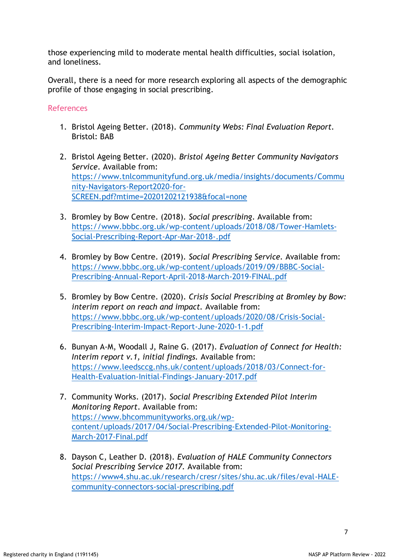those experiencing mild to moderate mental health difficulties, social isolation, and loneliness.

Overall, there is a need for more research exploring all aspects of the demographic profile of those engaging in social prescribing.

### References

- 1. Bristol Ageing Better. (2018). *Community Webs: Final Evaluation Report.* Bristol: BAB
- 2. Bristol Ageing Better. (2020). *Bristol Ageing Better Community Navigators Service*. Available from: [https://www.tnlcommunityfund.org.uk/media/insights/documents/Commu](https://www.tnlcommunityfund.org.uk/media/insights/documents/Community-Navigators-Report2020-for-SCREEN.pdf?mtime=20201202121938&focal=none) [nity-Navigators-Report2020-for-](https://www.tnlcommunityfund.org.uk/media/insights/documents/Community-Navigators-Report2020-for-SCREEN.pdf?mtime=20201202121938&focal=none)[SCREEN.pdf?mtime=20201202121938&focal=none](https://www.tnlcommunityfund.org.uk/media/insights/documents/Community-Navigators-Report2020-for-SCREEN.pdf?mtime=20201202121938&focal=none)
- 3. Bromley by Bow Centre. (2018). *Social prescribing*. Available from: [https://www.bbbc.org.uk/wp-content/uploads/2018/08/Tower-Hamlets-](https://www.bbbc.org.uk/wp-content/uploads/2018/08/Tower-Hamlets-Social-Prescribing-Report-Apr-Mar-2018-.pdf)[Social-Prescribing-Report-Apr-Mar-2018-.pdf](https://www.bbbc.org.uk/wp-content/uploads/2018/08/Tower-Hamlets-Social-Prescribing-Report-Apr-Mar-2018-.pdf)
- 4. Bromley by Bow Centre. (2019). *Social Prescribing Service.* Available from: [https://www.bbbc.org.uk/wp-content/uploads/2019/09/BBBC-Social-](https://www.bbbc.org.uk/wp-content/uploads/2019/09/BBBC-Social-Prescribing-Annual-Report-April-2018-March-2019-FINAL.pdf)[Prescribing-Annual-Report-April-2018-March-2019-FINAL.pdf](https://www.bbbc.org.uk/wp-content/uploads/2019/09/BBBC-Social-Prescribing-Annual-Report-April-2018-March-2019-FINAL.pdf)
- 5. Bromley by Bow Centre. (2020). *Crisis Social Prescribing at Bromley by Bow: interim report on reach and impact.* Available from: [https://www.bbbc.org.uk/wp-content/uploads/2020/08/Crisis-Social-](https://www.bbbc.org.uk/wp-content/uploads/2020/08/Crisis-Social-Prescribing-Interim-Impact-Report-June-2020-1-1.pdf)[Prescribing-Interim-Impact-Report-June-2020-1-1.pdf](https://www.bbbc.org.uk/wp-content/uploads/2020/08/Crisis-Social-Prescribing-Interim-Impact-Report-June-2020-1-1.pdf)
- 6. Bunyan A-M, Woodall J, Raine G. (2017). *Evaluation of Connect for Health: Interim report v.1, initial findings.* Available from: [https://www.leedsccg.nhs.uk/content/uploads/2018/03/Connect-for-](https://www.leedsccg.nhs.uk/content/uploads/2018/03/Connect-for-Health-Evaluation-Initial-Findings-January-2017.pdf)[Health-Evaluation-Initial-Findings-January-2017.pdf](https://www.leedsccg.nhs.uk/content/uploads/2018/03/Connect-for-Health-Evaluation-Initial-Findings-January-2017.pdf)
- 7. Community Works. (2017). *Social Prescribing Extended Pilot Interim Monitoring Report*. Available from: [https://www.bhcommunityworks.org.uk/wp](https://www.bhcommunityworks.org.uk/wp-content/uploads/2017/04/Social-Prescribing-Extended-Pilot-Monitoring-March-2017-Final.pdf)[content/uploads/2017/04/Social-Prescribing-Extended-Pilot-Monitoring-](https://www.bhcommunityworks.org.uk/wp-content/uploads/2017/04/Social-Prescribing-Extended-Pilot-Monitoring-March-2017-Final.pdf)[March-2017-Final.pdf](https://www.bhcommunityworks.org.uk/wp-content/uploads/2017/04/Social-Prescribing-Extended-Pilot-Monitoring-March-2017-Final.pdf)
- 8. Dayson C, Leather D. (2018). *Evaluation of HALE Community Connectors Social Prescribing Service 2017.* Available from: [https://www4.shu.ac.uk/research/cresr/sites/shu.ac.uk/files/eval-HALE](https://www4.shu.ac.uk/research/cresr/sites/shu.ac.uk/files/eval-HALE-community-connectors-social-prescribing.pdf)[community-connectors-social-prescribing.pdf](https://www4.shu.ac.uk/research/cresr/sites/shu.ac.uk/files/eval-HALE-community-connectors-social-prescribing.pdf)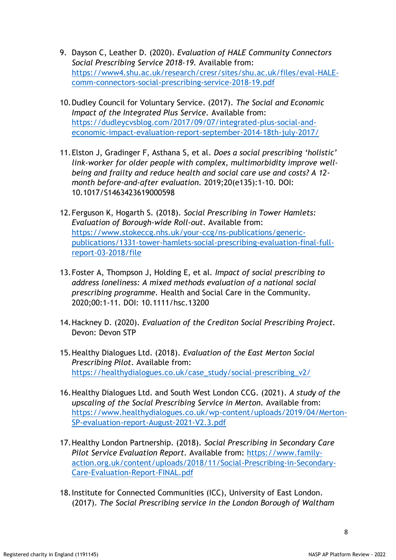- 9. Dayson C, Leather D. (2020). *Evaluation of HALE Community Connectors Social Prescribing Service 2018-19.* Available from: [https://www4.shu.ac.uk/research/cresr/sites/shu.ac.uk/files/eval-HALE](https://www4.shu.ac.uk/research/cresr/sites/shu.ac.uk/files/eval-HALE-comm-connectors-social-prescribing-service-2018-19.pdf)[comm-connectors-social-prescribing-service-2018-19.pdf](https://www4.shu.ac.uk/research/cresr/sites/shu.ac.uk/files/eval-HALE-comm-connectors-social-prescribing-service-2018-19.pdf)
- 10.Dudley Council for Voluntary Service. (2017). *The Social and Economic Impact of the Integrated Plus Service.* Available from: [https://dudleycvsblog.com/2017/09/07/integrated-plus-social-and](https://dudleycvsblog.com/2017/09/07/integrated-plus-social-and-economic-impact-evaluation-report-september-2014-18th-july-2017/)[economic-impact-evaluation-report-september-2014-18th-july-2017/](https://dudleycvsblog.com/2017/09/07/integrated-plus-social-and-economic-impact-evaluation-report-september-2014-18th-july-2017/)
- 11.Elston J, Gradinger F, Asthana S, et al. *Does a social prescribing 'holistic' link-worker for older people with complex, multimorbidity improve wellbeing and frailty and reduce health and social care use and costs? A 12 month before-and-after evaluation.* 2019;20(e135):1-10. DOI: 10.1017/S1463423619000598
- 12.Ferguson K, Hogarth S. (2018). *Social Prescribing in Tower Hamlets: Evaluation of Borough-wide Roll-out.* Available from: [https://www.stokeccg.nhs.uk/your-ccg/ns-publications/generic](https://www.stokeccg.nhs.uk/your-ccg/ns-publications/generic-publications/1331-tower-hamlets-social-prescribing-evaluation-final-full-report-03-2018/file)[publications/1331-tower-hamlets-social-prescribing-evaluation-final-full](https://www.stokeccg.nhs.uk/your-ccg/ns-publications/generic-publications/1331-tower-hamlets-social-prescribing-evaluation-final-full-report-03-2018/file)[report-03-2018/file](https://www.stokeccg.nhs.uk/your-ccg/ns-publications/generic-publications/1331-tower-hamlets-social-prescribing-evaluation-final-full-report-03-2018/file)
- 13.Foster A, Thompson J, Holding E, et al. *Impact of social prescribing to address loneliness: A mixed methods evaluation of a national social prescribing programme.* Health and Social Care in the Community. 2020;00:1-11. DOI: 10.1111/hsc.13200
- 14.Hackney D. (2020). *Evaluation of the Crediton Social Prescribing Project.* Devon: Devon STP
- 15.Healthy Dialogues Ltd. (2018). *Evaluation of the East Merton Social Prescribing Pilot*. Available from: [https://healthydialogues.co.uk/case\\_study/social-prescribing\\_v2/](https://healthydialogues.co.uk/case_study/social-prescribing_v2/)
- 16.Healthy Dialogues Ltd. and South West London CCG. (2021). *A study of the upscaling of the Social Prescribing Service in Merton.* Available from: [https://www.healthydialogues.co.uk/wp-content/uploads/2019/04/Merton-](https://www.healthydialogues.co.uk/wp-content/uploads/2019/04/Merton-SP-evaluation-report-August-2021-V2.3.pdf)[SP-evaluation-report-August-2021-V2.3.pdf](https://www.healthydialogues.co.uk/wp-content/uploads/2019/04/Merton-SP-evaluation-report-August-2021-V2.3.pdf)
- 17.Healthy London Partnership. (2018). *Social Prescribing in Secondary Care Pilot Service Evaluation Report.* Available from: [https://www.family](https://www.family-action.org.uk/content/uploads/2018/11/Social-Prescribing-in-Secondary-Care-Evaluation-Report-FINAL.pdf)[action.org.uk/content/uploads/2018/11/Social-Prescribing-in-Secondary-](https://www.family-action.org.uk/content/uploads/2018/11/Social-Prescribing-in-Secondary-Care-Evaluation-Report-FINAL.pdf)[Care-Evaluation-Report-FINAL.pdf](https://www.family-action.org.uk/content/uploads/2018/11/Social-Prescribing-in-Secondary-Care-Evaluation-Report-FINAL.pdf)
- 18.Institute for Connected Communities (ICC), University of East London. (2017). *The Social Prescribing service in the London Borough of Waltham*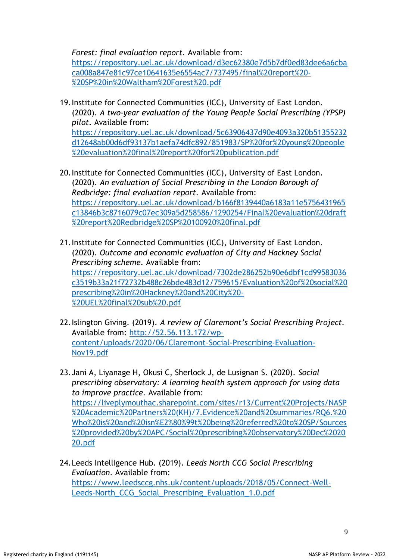*Forest: final evaluation report.* Available from:

[https://repository.uel.ac.uk/download/d3ec62380e7d5b7df0ed83dee6a6cba](https://repository.uel.ac.uk/download/d3ec62380e7d5b7df0ed83dee6a6cbaca008a847e81c97ce10641635e6554ac7/737495/final%20report%20-%20SP%20in%20Waltham%20Forest%20.pdf) [ca008a847e81c97ce10641635e6554ac7/737495/final%20report%20-](https://repository.uel.ac.uk/download/d3ec62380e7d5b7df0ed83dee6a6cbaca008a847e81c97ce10641635e6554ac7/737495/final%20report%20-%20SP%20in%20Waltham%20Forest%20.pdf) [%20SP%20in%20Waltham%20Forest%20.pdf](https://repository.uel.ac.uk/download/d3ec62380e7d5b7df0ed83dee6a6cbaca008a847e81c97ce10641635e6554ac7/737495/final%20report%20-%20SP%20in%20Waltham%20Forest%20.pdf)

19.Institute for Connected Communities (ICC), University of East London. (2020). *A two-year evaluation of the Young People Social Prescribing (YPSP) pilot.* Available from:

[https://repository.uel.ac.uk/download/5c63906437d90e4093a320b51355232](https://repository.uel.ac.uk/download/5c63906437d90e4093a320b51355232d12648ab00d6df93137b1aefa74dfc892/851983/SP%20for%20young%20people%20evaluation%20final%20report%20for%20publication.pdf) [d12648ab00d6df93137b1aefa74dfc892/851983/SP%20for%20young%20people](https://repository.uel.ac.uk/download/5c63906437d90e4093a320b51355232d12648ab00d6df93137b1aefa74dfc892/851983/SP%20for%20young%20people%20evaluation%20final%20report%20for%20publication.pdf) [%20evaluation%20final%20report%20for%20publication.pdf](https://repository.uel.ac.uk/download/5c63906437d90e4093a320b51355232d12648ab00d6df93137b1aefa74dfc892/851983/SP%20for%20young%20people%20evaluation%20final%20report%20for%20publication.pdf)

- 20.Institute for Connected Communities (ICC), University of East London. (2020). *An evaluation of Social Prescribing in the London Borough of Redbridge: final evaluation report.* Available from: [https://repository.uel.ac.uk/download/b166f8139440a6183a11e5756431965](https://repository.uel.ac.uk/download/b166f8139440a6183a11e5756431965c13846b3c8716079c07ec309a5d258586/1290254/Final%20evaluation%20draft%20report%20Redbridge%20SP%20100920%20final.pdf) [c13846b3c8716079c07ec309a5d258586/1290254/Final%20evaluation%20draft](https://repository.uel.ac.uk/download/b166f8139440a6183a11e5756431965c13846b3c8716079c07ec309a5d258586/1290254/Final%20evaluation%20draft%20report%20Redbridge%20SP%20100920%20final.pdf) [%20report%20Redbridge%20SP%20100920%20final.pdf](https://repository.uel.ac.uk/download/b166f8139440a6183a11e5756431965c13846b3c8716079c07ec309a5d258586/1290254/Final%20evaluation%20draft%20report%20Redbridge%20SP%20100920%20final.pdf)
- 21.Institute for Connected Communities (ICC), University of East London. (2020). *Outcome and economic evaluation of City and Hackney Social Prescribing scheme.* Available from: [https://repository.uel.ac.uk/download/7302de286252b90e6dbf1cd99583036](https://repository.uel.ac.uk/download/7302de286252b90e6dbf1cd99583036c3519b33a21f72732b488c26bde483d12/759615/Evaluation%20of%20social%20prescribing%20in%20Hackney%20and%20City%20-%20UEL%20final%20sub%20.pdf) [c3519b33a21f72732b488c26bde483d12/759615/Evaluation%20of%20social%20](https://repository.uel.ac.uk/download/7302de286252b90e6dbf1cd99583036c3519b33a21f72732b488c26bde483d12/759615/Evaluation%20of%20social%20prescribing%20in%20Hackney%20and%20City%20-%20UEL%20final%20sub%20.pdf) [prescribing%20in%20Hackney%20and%20City%20-](https://repository.uel.ac.uk/download/7302de286252b90e6dbf1cd99583036c3519b33a21f72732b488c26bde483d12/759615/Evaluation%20of%20social%20prescribing%20in%20Hackney%20and%20City%20-%20UEL%20final%20sub%20.pdf) [%20UEL%20final%20sub%20.pdf](https://repository.uel.ac.uk/download/7302de286252b90e6dbf1cd99583036c3519b33a21f72732b488c26bde483d12/759615/Evaluation%20of%20social%20prescribing%20in%20Hackney%20and%20City%20-%20UEL%20final%20sub%20.pdf)
- 22.Islington Giving. (2019). *A review of Claremont's Social Prescribing Project.* Available from: [http://52.56.113.172/wp](http://52.56.113.172/wp-content/uploads/2020/06/Claremont-Social-Prescribing-Evaluation-Nov19.pdf)[content/uploads/2020/06/Claremont-Social-Prescribing-Evaluation-](http://52.56.113.172/wp-content/uploads/2020/06/Claremont-Social-Prescribing-Evaluation-Nov19.pdf)[Nov19.pdf](http://52.56.113.172/wp-content/uploads/2020/06/Claremont-Social-Prescribing-Evaluation-Nov19.pdf)
- 23.Jani A, Liyanage H, Okusi C, Sherlock J, de Lusignan S. (2020). *Social prescribing observatory: A learning health system approach for using data to improve practice.* Available from: [https://liveplymouthac.sharepoint.com/sites/r13/Current%20Projects/NASP](https://liveplymouthac.sharepoint.com/sites/r13/Current%20Projects/NASP%20Academic%20Partners%20(KH)/7.Evidence%20and%20summaries/RQ6.%20Who%20is%20and%20isn%E2%80%99t%20being%20referred%20to%20SP/Sources%20provided%20by%20APC/Social%20prescribing%20observatory%20Dec%202020.pdf) [%20Academic%20Partners%20\(KH\)/7.Evidence%20and%20summaries/RQ6.%20](https://liveplymouthac.sharepoint.com/sites/r13/Current%20Projects/NASP%20Academic%20Partners%20(KH)/7.Evidence%20and%20summaries/RQ6.%20Who%20is%20and%20isn%E2%80%99t%20being%20referred%20to%20SP/Sources%20provided%20by%20APC/Social%20prescribing%20observatory%20Dec%202020.pdf) [Who%20is%20and%20isn%E2%80%99t%20being%20referred%20to%20SP/Sources](https://liveplymouthac.sharepoint.com/sites/r13/Current%20Projects/NASP%20Academic%20Partners%20(KH)/7.Evidence%20and%20summaries/RQ6.%20Who%20is%20and%20isn%E2%80%99t%20being%20referred%20to%20SP/Sources%20provided%20by%20APC/Social%20prescribing%20observatory%20Dec%202020.pdf) [%20provided%20by%20APC/Social%20prescribing%20observatory%20Dec%2020](https://liveplymouthac.sharepoint.com/sites/r13/Current%20Projects/NASP%20Academic%20Partners%20(KH)/7.Evidence%20and%20summaries/RQ6.%20Who%20is%20and%20isn%E2%80%99t%20being%20referred%20to%20SP/Sources%20provided%20by%20APC/Social%20prescribing%20observatory%20Dec%202020.pdf) [20.pdf](https://liveplymouthac.sharepoint.com/sites/r13/Current%20Projects/NASP%20Academic%20Partners%20(KH)/7.Evidence%20and%20summaries/RQ6.%20Who%20is%20and%20isn%E2%80%99t%20being%20referred%20to%20SP/Sources%20provided%20by%20APC/Social%20prescribing%20observatory%20Dec%202020.pdf)
- 24.Leeds Intelligence Hub. (2019). *Leeds North CCG Social Prescribing Evaluation*. Available from: [https://www.leedsccg.nhs.uk/content/uploads/2018/05/Connect-Well-](https://www.leedsccg.nhs.uk/content/uploads/2018/05/Connect-Well-Leeds-North_CCG_Social_Prescribing_Evaluation_1.0.pdf)[Leeds-North\\_CCG\\_Social\\_Prescribing\\_Evaluation\\_1.0.pdf](https://www.leedsccg.nhs.uk/content/uploads/2018/05/Connect-Well-Leeds-North_CCG_Social_Prescribing_Evaluation_1.0.pdf)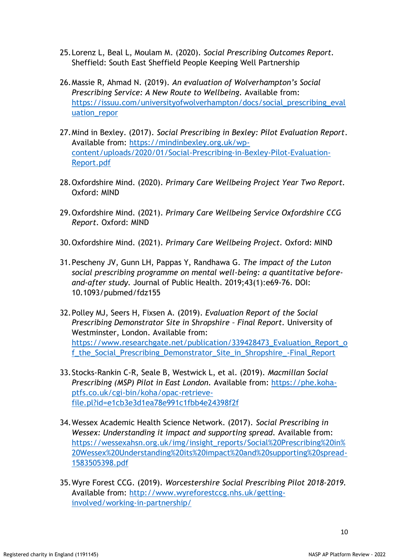- 25.Lorenz L, Beal L, Moulam M. (2020). *Social Prescribing Outcomes Report.* Sheffield: South East Sheffield People Keeping Well Partnership
- 26.Massie R, Ahmad N. (2019). *An evaluation of Wolverhampton's Social Prescribing Service: A New Route to Wellbeing.* Available from: [https://issuu.com/universityofwolverhampton/docs/social\\_prescribing\\_eval](https://issuu.com/universityofwolverhampton/docs/social_prescribing_evaluation_repor) uation repor
- 27.Mind in Bexley. (2017). *Social Prescribing in Bexley: Pilot Evaluation Report*. Available from: [https://mindinbexley.org.uk/wp](https://mindinbexley.org.uk/wp-content/uploads/2020/01/Social-Prescribing-in-Bexley-Pilot-Evaluation-Report.pdf)[content/uploads/2020/01/Social-Prescribing-in-Bexley-Pilot-Evaluation-](https://mindinbexley.org.uk/wp-content/uploads/2020/01/Social-Prescribing-in-Bexley-Pilot-Evaluation-Report.pdf)[Report.pdf](https://mindinbexley.org.uk/wp-content/uploads/2020/01/Social-Prescribing-in-Bexley-Pilot-Evaluation-Report.pdf)
- 28.Oxfordshire Mind. (2020). *Primary Care Wellbeing Project Year Two Report.* Oxford: MIND
- 29.Oxfordshire Mind. (2021). *Primary Care Wellbeing Service Oxfordshire CCG Report.* Oxford: MIND
- 30.Oxfordshire Mind. (2021). *Primary Care Wellbeing Project.* Oxford: MIND
- 31.Pescheny JV, Gunn LH, Pappas Y, Randhawa G. *The impact of the Luton social prescribing programme on mental well-being: a quantitative beforeand-after study.* Journal of Public Health. 2019;43(1):e69-76. DOI: 10.1093/pubmed/fdz155
- 32.Polley MJ, Seers H, Fixsen A. (2019). *Evaluation Report of the Social Prescribing Demonstrator Site in Shropshire – Final Report.* University of Westminster, London. Available from: [https://www.researchgate.net/publication/339428473\\_Evaluation\\_Report\\_o](https://www.researchgate.net/publication/339428473_Evaluation_Report_of_the_Social_Prescribing_Demonstrator_Site_in_Shropshire_-Final_Report) f the Social Prescribing Demonstrator Site in Shropshire -Final Report
- 33.Stocks-Rankin C-R, Seale B, Westwick L, et al. (2019). *Macmillan Social Prescribing (MSP) Pilot in East London.* Available from: [https://phe.koha](https://phe.koha-ptfs.co.uk/cgi-bin/koha/opac-retrieve-file.pl?id=e1cb3e3d1ea78e991c1fbb4e24398f2f)[ptfs.co.uk/cgi-bin/koha/opac-retrieve](https://phe.koha-ptfs.co.uk/cgi-bin/koha/opac-retrieve-file.pl?id=e1cb3e3d1ea78e991c1fbb4e24398f2f)[file.pl?id=e1cb3e3d1ea78e991c1fbb4e24398f2f](https://phe.koha-ptfs.co.uk/cgi-bin/koha/opac-retrieve-file.pl?id=e1cb3e3d1ea78e991c1fbb4e24398f2f)
- 34.Wessex Academic Health Science Network. (2017). *Social Prescribing in Wessex: Understanding it impact and supporting spread.* Available from: [https://wessexahsn.org.uk/img/insight\\_reports/Social%20Prescribing%20in%](https://wessexahsn.org.uk/img/insight_reports/Social%20Prescribing%20in%20Wessex%20Understanding%20its%20impact%20and%20supporting%20spread-1583505398.pdf) [20Wessex%20Understanding%20its%20impact%20and%20supporting%20spread-](https://wessexahsn.org.uk/img/insight_reports/Social%20Prescribing%20in%20Wessex%20Understanding%20its%20impact%20and%20supporting%20spread-1583505398.pdf)[1583505398.pdf](https://wessexahsn.org.uk/img/insight_reports/Social%20Prescribing%20in%20Wessex%20Understanding%20its%20impact%20and%20supporting%20spread-1583505398.pdf)
- 35.Wyre Forest CCG. (2019). *Worcestershire Social Prescribing Pilot 2018-2019.* Available from: [http://www.wyreforestccg.nhs.uk/getting](http://www.wyreforestccg.nhs.uk/getting-involved/working-in-partnership/)[involved/working-in-partnership/](http://www.wyreforestccg.nhs.uk/getting-involved/working-in-partnership/)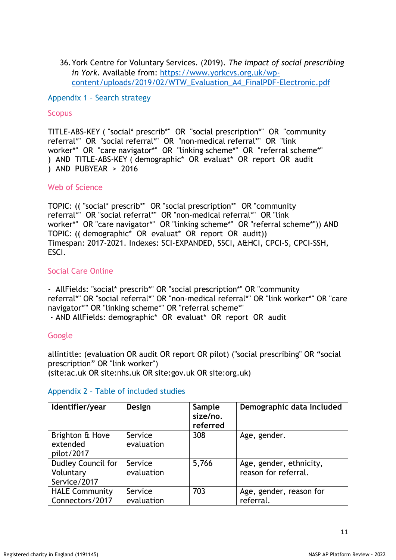36.York Centre for Voluntary Services. (2019). *The impact of social prescribing in York.* Available from: [https://www.yorkcvs.org.uk/wp](https://www.yorkcvs.org.uk/wp-content/uploads/2019/02/WTW_Evaluation_A4_FinalPDF-Electronic.pdf)[content/uploads/2019/02/WTW\\_Evaluation\\_A4\\_FinalPDF-Electronic.pdf](https://www.yorkcvs.org.uk/wp-content/uploads/2019/02/WTW_Evaluation_A4_FinalPDF-Electronic.pdf)

Appendix 1 – Search strategy

### **Scopus**

TITLE-ABS-KEY ( "social\* prescrib\*" OR "social prescription\*" OR "community referral\*" OR "social referral\*" OR "non-medical referral\*" OR "link worker\*" OR "care navigator\*" OR "linking scheme\*" OR "referral scheme\*" ) AND TITLE-ABS-KEY ( demographic\* OR evaluat\* OR report OR audit ) AND PUBYEAR > 2016

### Web of Science

TOPIC: (( "social\* prescrib\*" OR "social prescription\*" OR "community referral\*" OR "social referral\*" OR "non-medical referral\*" OR "link worker\*" OR "care navigator\*" OR "linking scheme\*" OR "referral scheme\*")) AND TOPIC: (( demographic\* OR evaluat\* OR report OR audit)) Timespan: 2017-2021. Indexes: SCI-EXPANDED, SSCI, A&HCI, CPCI-S, CPCI-SSH, ESCI.

## Social Care Online

- AllFields: "social\* prescrib\*" OR "social prescription\*" OR "community referral\*" OR "social referral\*" OR "non-medical referral\*" OR "link worker\*" OR "care navigator\*"' OR "linking scheme\*" OR "referral scheme\*"

- AND AllFields: demographic\* OR evaluat\* OR report OR audit

## Google

allintitle: (evaluation OR audit OR report OR pilot) ("social prescribing" OR "social prescription" OR "link worker") (site:ac.uk OR site:nhs.uk OR site:gov.uk OR site:org.uk)

#### Appendix 2 – Table of included studies

| Identifier/year                                 | Design                | Sample<br>size/no.<br>referred | Demographic data included                       |
|-------------------------------------------------|-----------------------|--------------------------------|-------------------------------------------------|
| Brighton & Hove<br>extended<br>pilot/2017       | Service<br>evaluation | 308                            | Age, gender.                                    |
| Dudley Council for<br>Voluntary<br>Service/2017 | Service<br>evaluation | 5,766                          | Age, gender, ethnicity,<br>reason for referral. |
| <b>HALE Community</b><br>Connectors/2017        | Service<br>evaluation | 703                            | Age, gender, reason for<br>referral.            |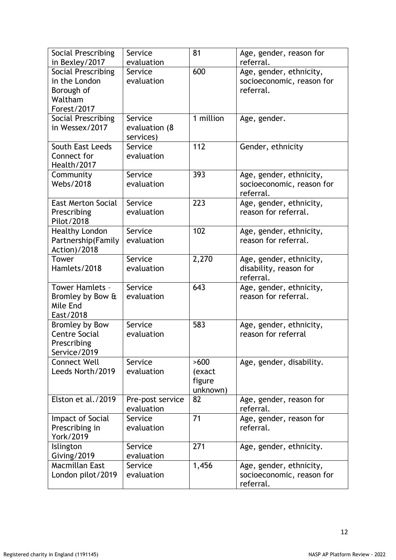| Social Prescribing<br>in Bexley/2017                                         | Service<br>evaluation                 | 81                                   | Age, gender, reason for<br>referral.                              |
|------------------------------------------------------------------------------|---------------------------------------|--------------------------------------|-------------------------------------------------------------------|
| Social Prescribing<br>in the London<br>Borough of<br>Waltham<br>Forest/2017  | Service<br>evaluation                 | 600                                  | Age, gender, ethnicity,<br>socioeconomic, reason for<br>referral. |
| Social Prescribing<br>in Wessex/2017                                         | Service<br>evaluation (8<br>services) | 1 million                            | Age, gender.                                                      |
| South East Leeds<br>Connect for<br>Health/2017                               | Service<br>evaluation                 | 112                                  | Gender, ethnicity                                                 |
| Community<br><b>Webs/2018</b>                                                | Service<br>evaluation                 | 393                                  | Age, gender, ethnicity,<br>socioeconomic, reason for<br>referral. |
| <b>East Merton Social</b><br>Prescribing<br>Pilot/2018                       | Service<br>evaluation                 | 223                                  | Age, gender, ethnicity,<br>reason for referral.                   |
| <b>Healthy London</b><br>Partnership(Family<br>Action)/2018                  | Service<br>evaluation                 | 102                                  | Age, gender, ethnicity,<br>reason for referral.                   |
| Tower<br>Hamlets/2018                                                        | Service<br>evaluation                 | 2,270                                | Age, gender, ethnicity,<br>disability, reason for<br>referral.    |
| <b>Tower Hamlets -</b><br>Bromley by Bow &<br>Mile End<br>East/2018          | Service<br>evaluation                 | 643                                  | Age, gender, ethnicity,<br>reason for referral.                   |
| <b>Bromley by Bow</b><br><b>Centre Social</b><br>Prescribing<br>Service/2019 | Service<br>evaluation                 | 583                                  | Age, gender, ethnicity,<br>reason for referral                    |
| <b>Connect Well</b><br>Leeds North/2019                                      | Service<br>evaluation                 | >600<br>(exact<br>figure<br>unknown) | Age, gender, disability.                                          |
| Elston et al./2019                                                           | Pre-post service<br>evaluation        | 82                                   | Age, gender, reason for<br>referral.                              |
| Impact of Social<br>Prescribing in<br>York/2019                              | Service<br>evaluation                 | 71                                   | Age, gender, reason for<br>referral.                              |
| Islington<br>Giving/2019                                                     | Service<br>evaluation                 | 271                                  | Age, gender, ethnicity.                                           |
| Macmillan East<br>London pilot/2019                                          | Service<br>evaluation                 | 1,456                                | Age, gender, ethnicity,<br>socioeconomic, reason for<br>referral. |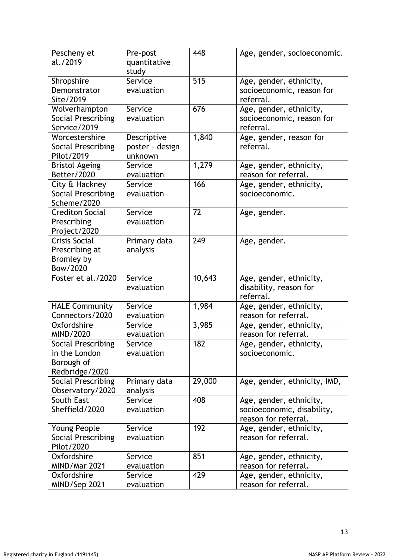| Pescheny et<br>al./2019                                                    | Pre-post<br>quantitative<br>study         | 448    | Age, gender, socioeconomic.                                                   |
|----------------------------------------------------------------------------|-------------------------------------------|--------|-------------------------------------------------------------------------------|
| Shropshire<br>Demonstrator<br>Site/2019                                    | Service<br>evaluation                     | 515    | Age, gender, ethnicity,<br>socioeconomic, reason for<br>referral.             |
| Wolverhampton<br><b>Social Prescribing</b><br>Service/2019                 | Service<br>evaluation                     | 676    | Age, gender, ethnicity,<br>socioeconomic, reason for<br>referral.             |
| Worcestershire<br>Social Prescribing<br>Pilot/2019                         | Descriptive<br>poster - design<br>unknown | 1,840  | Age, gender, reason for<br>referral.                                          |
| <b>Bristol Ageing</b><br>Better/2020                                       | Service<br>evaluation                     | 1,279  | Age, gender, ethnicity,<br>reason for referral.                               |
| City & Hackney<br>Social Prescribing<br>Scheme/2020                        | Service<br>evaluation                     | 166    | Age, gender, ethnicity,<br>socioeconomic.                                     |
| <b>Crediton Social</b><br>Prescribing<br>Project/2020                      | Service<br>evaluation                     | 72     | Age, gender.                                                                  |
| <b>Crisis Social</b><br>Prescribing at<br><b>Bromley by</b><br>Bow/2020    | Primary data<br>analysis                  | 249    | Age, gender.                                                                  |
| Foster et al./2020                                                         | Service<br>evaluation                     | 10,643 | Age, gender, ethnicity,<br>disability, reason for<br>referral.                |
| <b>HALE Community</b><br>Connectors/2020                                   | Service<br>evaluation                     | 1,984  | Age, gender, ethnicity,<br>reason for referral.                               |
| Oxfordshire<br>MIND/2020                                                   | Service<br>evaluation                     | 3,985  | Age, gender, ethnicity,<br>reason for referral.                               |
| <b>Social Prescribing</b><br>in the London<br>Borough of<br>Redbridge/2020 | Service<br>evaluation                     | 182    | Age, gender, ethnicity,<br>socioeconomic.                                     |
| Social Prescribing<br>Observatory/2020                                     | Primary data<br>analysis                  | 29,000 | Age, gender, ethnicity, IMD,                                                  |
| South East<br>Sheffield/2020                                               | Service<br>evaluation                     | 408    | Age, gender, ethnicity,<br>socioeconomic, disability,<br>reason for referral. |
| Young People<br>Social Prescribing<br>Pilot/2020                           | Service<br>evaluation                     | 192    | Age, gender, ethnicity,<br>reason for referral.                               |
| Oxfordshire<br><b>MIND/Mar 2021</b>                                        | Service<br>evaluation                     | 851    | Age, gender, ethnicity,<br>reason for referral.                               |
| Oxfordshire<br>MIND/Sep 2021                                               | Service<br>evaluation                     | 429    | Age, gender, ethnicity,<br>reason for referral.                               |